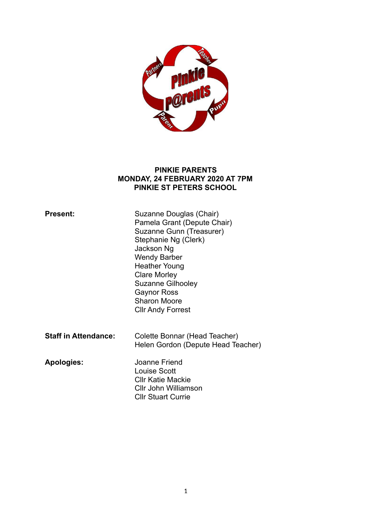

### **PINKIE PARENTS MONDAY, 24 FEBRUARY 2020 AT 7PM PINKIE ST PETERS SCHOOL**

| <b>Present:</b>             | Suzanne Douglas (Chair)<br>Pamela Grant (Depute Chair)<br>Suzanne Gunn (Treasurer)<br>Stephanie Ng (Clerk)<br>Jackson Ng<br><b>Wendy Barber</b><br><b>Heather Young</b><br><b>Clare Morley</b><br><b>Suzanne Gilhooley</b><br><b>Gaynor Ross</b><br><b>Sharon Moore</b><br><b>CIIr Andy Forrest</b> |
|-----------------------------|-----------------------------------------------------------------------------------------------------------------------------------------------------------------------------------------------------------------------------------------------------------------------------------------------------|
| <b>Staff in Attendance:</b> | Colette Bonnar (Head Teacher)<br>Helen Gordon (Depute Head Teacher)                                                                                                                                                                                                                                 |
| Apologies:                  | Joanne Friend<br>Louise Scott<br><b>CIIr Katie Mackie</b><br>Cllr John Williamson<br><b>CIIr Stuart Currie</b>                                                                                                                                                                                      |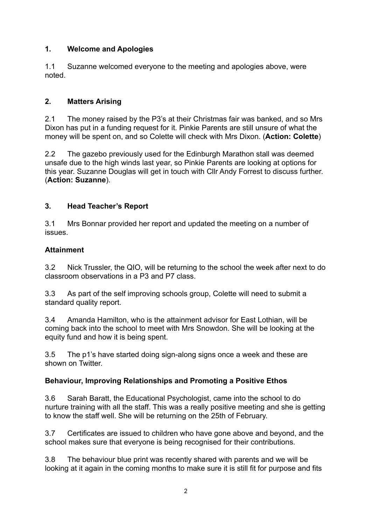# **1. Welcome and Apologies**

1.1 Suzanne welcomed everyone to the meeting and apologies above, were noted.

# **2. Matters Arising**

2.1 The money raised by the P3's at their Christmas fair was banked, and so Mrs Dixon has put in a funding request for it. Pinkie Parents are still unsure of what the money will be spent on, and so Colette will check with Mrs Dixon. (**Action: Colette**)

2.2 The gazebo previously used for the Edinburgh Marathon stall was deemed unsafe due to the high winds last year, so Pinkie Parents are looking at options for this year. Suzanne Douglas will get in touch with Cllr Andy Forrest to discuss further. (**Action: Suzanne**).

# **3. Head Teacher's Report**

3.1 Mrs Bonnar provided her report and updated the meeting on a number of issues.

# **Attainment**

3.2 Nick Trussler, the QIO, will be returning to the school the week after next to do classroom observations in a P3 and P7 class.

3.3 As part of the self improving schools group, Colette will need to submit a standard quality report.

3.4 Amanda Hamilton, who is the attainment advisor for East Lothian, will be coming back into the school to meet with Mrs Snowdon. She will be looking at the equity fund and how it is being spent.

3.5 The p1's have started doing sign-along signs once a week and these are shown on Twitter.

# **Behaviour, Improving Relationships and Promoting a Positive Ethos**

3.6 Sarah Baratt, the Educational Psychologist, came into the school to do nurture training with all the staff. This was a really positive meeting and she is getting to know the staff well. She will be returning on the 25th of February.

3.7 Certificates are issued to children who have gone above and beyond, and the school makes sure that everyone is being recognised for their contributions.

3.8 The behaviour blue print was recently shared with parents and we will be looking at it again in the coming months to make sure it is still fit for purpose and fits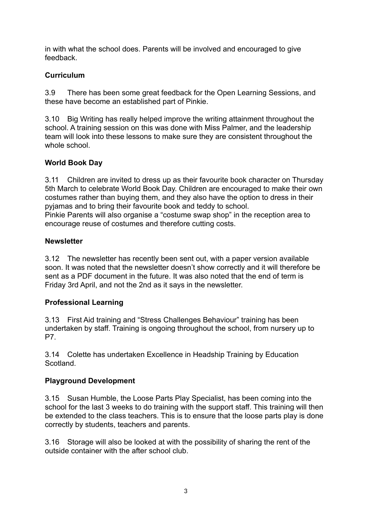in with what the school does. Parents will be involved and encouraged to give feedback.

### **Curriculum**

3.9 There has been some great feedback for the Open Learning Sessions, and these have become an established part of Pinkie.

3.10 Big Writing has really helped improve the writing attainment throughout the school. A training session on this was done with Miss Palmer, and the leadership team will look into these lessons to make sure they are consistent throughout the whole school

### **World Book Day**

3.11 Children are invited to dress up as their favourite book character on Thursday 5th March to celebrate World Book Day. Children are encouraged to make their own costumes rather than buying them, and they also have the option to dress in their pyjamas and to bring their favourite book and teddy to school. Pinkie Parents will also organise a "costume swap shop" in the reception area to

encourage reuse of costumes and therefore cutting costs.

### **Newsletter**

3.12 The newsletter has recently been sent out, with a paper version available soon. It was noted that the newsletter doesn't show correctly and it will therefore be sent as a PDF document in the future. It was also noted that the end of term is Friday 3rd April, and not the 2nd as it says in the newsletter.

# **Professional Learning**

3.13 First Aid training and "Stress Challenges Behaviour" training has been undertaken by staff. Training is ongoing throughout the school, from nursery up to P7.

3.14 Colette has undertaken Excellence in Headship Training by Education **Scotland** 

### **Playground Development**

3.15 Susan Humble, the Loose Parts Play Specialist, has been coming into the school for the last 3 weeks to do training with the support staff. This training will then be extended to the class teachers. This is to ensure that the loose parts play is done correctly by students, teachers and parents.

3.16 Storage will also be looked at with the possibility of sharing the rent of the outside container with the after school club.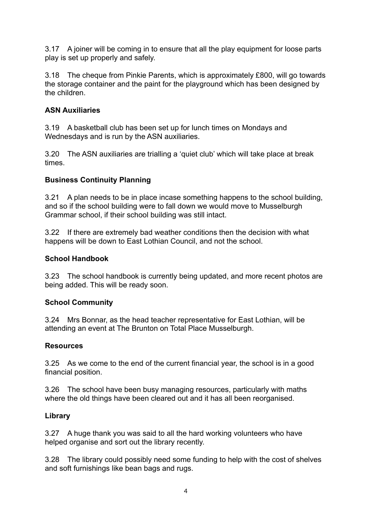3.17 A joiner will be coming in to ensure that all the play equipment for loose parts play is set up properly and safely.

3.18 The cheque from Pinkie Parents, which is approximately £800, will go towards the storage container and the paint for the playground which has been designed by the children.

### **ASN Auxiliaries**

3.19 A basketball club has been set up for lunch times on Mondays and Wednesdays and is run by the ASN auxiliaries.

3.20 The ASN auxiliaries are trialling a 'quiet club' which will take place at break times.

### **Business Continuity Planning**

3.21 A plan needs to be in place incase something happens to the school building, and so if the school building were to fall down we would move to Musselburgh Grammar school, if their school building was still intact.

3.22 If there are extremely bad weather conditions then the decision with what happens will be down to East Lothian Council, and not the school.

#### **School Handbook**

3.23 The school handbook is currently being updated, and more recent photos are being added. This will be ready soon.

### **School Community**

3.24 Mrs Bonnar, as the head teacher representative for East Lothian, will be attending an event at The Brunton on Total Place Musselburgh.

#### **Resources**

3.25 As we come to the end of the current financial year, the school is in a good financial position.

3.26 The school have been busy managing resources, particularly with maths where the old things have been cleared out and it has all been reorganised.

### **Library**

3.27 A huge thank you was said to all the hard working volunteers who have helped organise and sort out the library recently.

3.28 The library could possibly need some funding to help with the cost of shelves and soft furnishings like bean bags and rugs.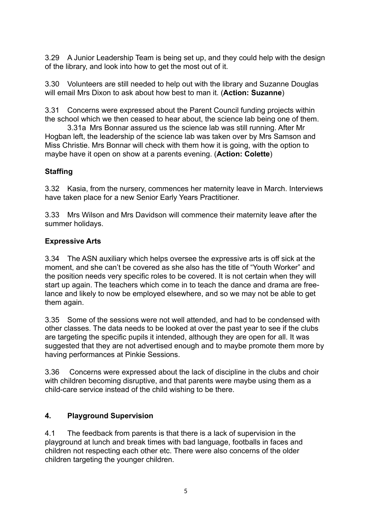3.29 A Junior Leadership Team is being set up, and they could help with the design of the library, and look into how to get the most out of it.

3.30 Volunteers are still needed to help out with the library and Suzanne Douglas will email Mrs Dixon to ask about how best to man it. (**Action: Suzanne**)

3.31 Concerns were expressed about the Parent Council funding projects within the school which we then ceased to hear about, the science lab being one of them.

 3.31a Mrs Bonnar assured us the science lab was still running. After Mr Hogban left, the leadership of the science lab was taken over by Mrs Samson and Miss Christie. Mrs Bonnar will check with them how it is going, with the option to maybe have it open on show at a parents evening. (**Action: Colette**)

### **Staffing**

3.32 Kasia, from the nursery, commences her maternity leave in March. Interviews have taken place for a new Senior Early Years Practitioner.

3.33 Mrs Wilson and Mrs Davidson will commence their maternity leave after the summer holidays.

### **Expressive Arts**

3.34 The ASN auxiliary which helps oversee the expressive arts is off sick at the moment, and she can't be covered as she also has the title of "Youth Worker" and the position needs very specific roles to be covered. It is not certain when they will start up again. The teachers which come in to teach the dance and drama are freelance and likely to now be employed elsewhere, and so we may not be able to get them again.

3.35 Some of the sessions were not well attended, and had to be condensed with other classes. The data needs to be looked at over the past year to see if the clubs are targeting the specific pupils it intended, although they are open for all. It was suggested that they are not advertised enough and to maybe promote them more by having performances at Pinkie Sessions.

3.36 Concerns were expressed about the lack of discipline in the clubs and choir with children becoming disruptive, and that parents were maybe using them as a child-care service instead of the child wishing to be there.

### **4. Playground Supervision**

4.1 The feedback from parents is that there is a lack of supervision in the playground at lunch and break times with bad language, footballs in faces and children not respecting each other etc. There were also concerns of the older children targeting the younger children.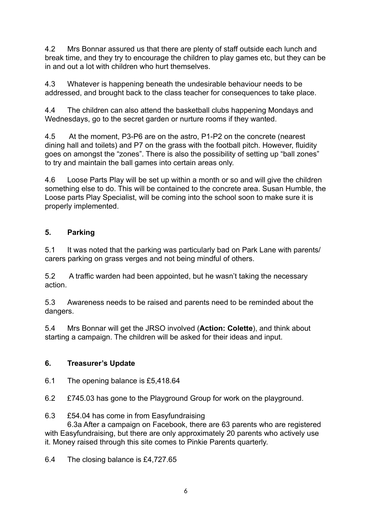4.2 Mrs Bonnar assured us that there are plenty of staff outside each lunch and break time, and they try to encourage the children to play games etc, but they can be in and out a lot with children who hurt themselves.

4.3 Whatever is happening beneath the undesirable behaviour needs to be addressed, and brought back to the class teacher for consequences to take place.

4.4 The children can also attend the basketball clubs happening Mondays and Wednesdays, go to the secret garden or nurture rooms if they wanted.

4.5 At the moment, P3-P6 are on the astro, P1-P2 on the concrete (nearest dining hall and toilets) and P7 on the grass with the football pitch. However, fluidity goes on amongst the "zones". There is also the possibility of setting up "ball zones" to try and maintain the ball games into certain areas only.

4.6 Loose Parts Play will be set up within a month or so and will give the children something else to do. This will be contained to the concrete area. Susan Humble, the Loose parts Play Specialist, will be coming into the school soon to make sure it is properly implemented.

# **5. Parking**

5.1 It was noted that the parking was particularly bad on Park Lane with parents/ carers parking on grass verges and not being mindful of others.

5.2 A traffic warden had been appointed, but he wasn't taking the necessary action.

5.3 Awareness needs to be raised and parents need to be reminded about the dangers.

5.4 Mrs Bonnar will get the JRSO involved (**Action: Colette**), and think about starting a campaign. The children will be asked for their ideas and input.

# **6. Treasurer's Update**

6.1 The opening balance is £5,418.64

6.2 £745.03 has gone to the Playground Group for work on the playground.

### 6.3 £54.04 has come in from Easyfundraising

 6.3a After a campaign on Facebook, there are 63 parents who are registered with Easyfundraising, but there are only approximately 20 parents who actively use it. Money raised through this site comes to Pinkie Parents quarterly.

6.4 The closing balance is £4,727.65